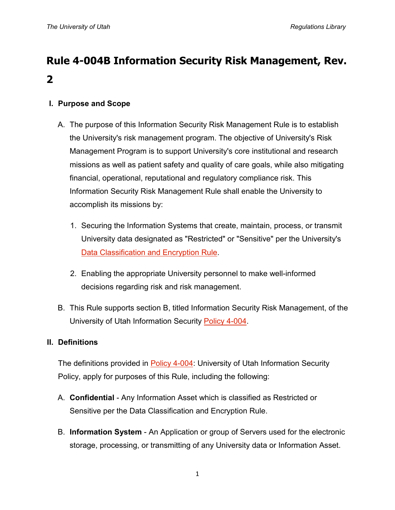# **Rule 4-004B Information Security Risk Management, Rev. 2**

# **I. Purpose and Scope**

- A. The purpose of this Information Security Risk Management Rule is to establish the University's risk management program. The objective of University's Risk Management Program is to support University's core institutional and research missions as well as patient safety and quality of care goals, while also mitigating financial, operational, reputational and regulatory compliance risk. This Information Security Risk Management Rule shall enable the University to accomplish its missions by:
	- 1. Securing the Information Systems that create, maintain, process, or transmit University data designated as "Restricted" or "Sensitive" per the University's [Data Classification and Encryption Rule.](http://regulations.utah.edu/it/rules/Rule4-004C.php)
	- 2. Enabling the appropriate University personnel to make well-informed decisions regarding risk and risk management.
- B. This Rule supports section B, titled Information Security Risk Management, of the University of Utah Information Security [Policy 4-004.](http://regulations.utah.edu/it/4-004.php)

#### **II. Definitions**

The definitions provided in [Policy 4-004:](http://regulations.utah.edu/it/4-004.php) University of Utah Information Security Policy, apply for purposes of this Rule, including the following:

- A. **Confidential** Any Information Asset which is classified as Restricted or Sensitive per the Data Classification and Encryption Rule.
- B. **Information System** An Application or group of Servers used for the electronic storage, processing, or transmitting of any University data or Information Asset.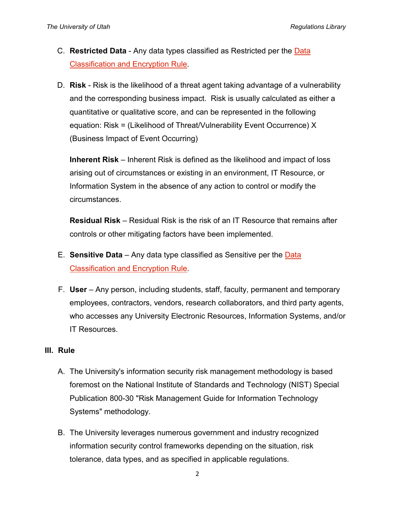- C. **Restricted Data** Any data types classified as Restricted per the [Data](http://regulations.utah.edu/it/rules/Rule4-004C.php)  [Classification and Encryption Rule.](http://regulations.utah.edu/it/rules/Rule4-004C.php)
- D. **Risk** Risk is the likelihood of a threat agent taking advantage of a vulnerability and the corresponding business impact. Risk is usually calculated as either a quantitative or qualitative score, and can be represented in the following equation: Risk = (Likelihood of Threat/Vulnerability Event Occurrence) X (Business Impact of Event Occurring)

**Inherent Risk** – Inherent Risk is defined as the likelihood and impact of loss arising out of circumstances or existing in an environment, IT Resource, or Information System in the absence of any action to control or modify the circumstances.

**Residual Risk** – Residual Risk is the risk of an IT Resource that remains after controls or other mitigating factors have been implemented.

- E. **Sensitive Data** Any data type classified as Sensitive per the [Data](http://regulations.utah.edu/it/rules/Rule4-004C.php)  [Classification and Encryption Rule.](http://regulations.utah.edu/it/rules/Rule4-004C.php)
- F. **User** Any person, including students, staff, faculty, permanent and temporary employees, contractors, vendors, research collaborators, and third party agents, who accesses any University Electronic Resources, Information Systems, and/or IT Resources.

### **III. Rule**

- A. The University's information security risk management methodology is based foremost on the National Institute of Standards and Technology (NIST) Special Publication 800-30 "Risk Management Guide for Information Technology Systems" methodology.
- B. The University leverages numerous government and industry recognized information security control frameworks depending on the situation, risk tolerance, data types, and as specified in applicable regulations.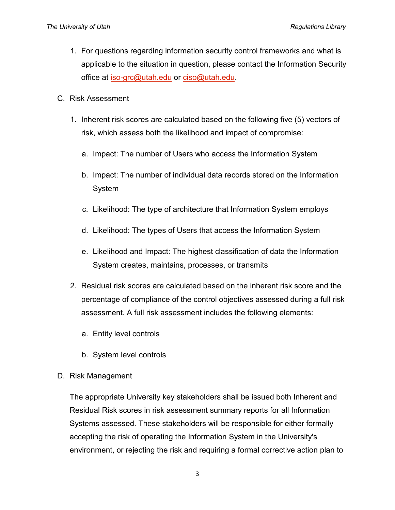- 1. For questions regarding information security control frameworks and what is applicable to the situation in question, please contact the Information Security office at [iso-grc@utah.edu](mailto:iso-grc@utah.edu) or [ciso@utah.edu.](mailto:ciso@utah.edu)
- C. Risk Assessment
	- 1. Inherent risk scores are calculated based on the following five (5) vectors of risk, which assess both the likelihood and impact of compromise:
		- a. Impact: The number of Users who access the Information System
		- b. Impact: The number of individual data records stored on the Information System
		- c. Likelihood: The type of architecture that Information System employs
		- d. Likelihood: The types of Users that access the Information System
		- e. Likelihood and Impact: The highest classification of data the Information System creates, maintains, processes, or transmits
	- 2. Residual risk scores are calculated based on the inherent risk score and the percentage of compliance of the control objectives assessed during a full risk assessment. A full risk assessment includes the following elements:
		- a. Entity level controls
		- b. System level controls
- D. Risk Management

The appropriate University key stakeholders shall be issued both Inherent and Residual Risk scores in risk assessment summary reports for all Information Systems assessed. These stakeholders will be responsible for either formally accepting the risk of operating the Information System in the University's environment, or rejecting the risk and requiring a formal corrective action plan to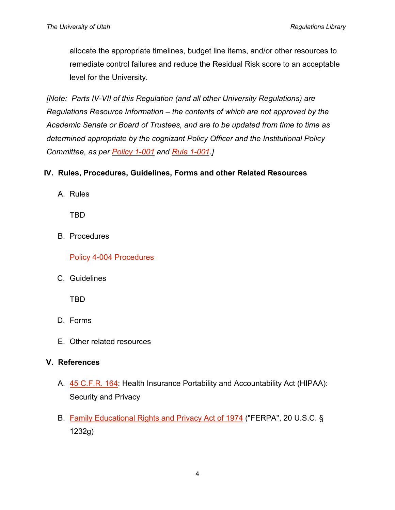allocate the appropriate timelines, budget line items, and/or other resources to remediate control failures and reduce the Residual Risk score to an acceptable level for the University.

*[Note: Parts IV-VII of this Regulation (and all other University Regulations) are Regulations Resource Information – the contents of which are not approved by the Academic Senate or Board of Trustees, and are to be updated from time to time as determined appropriate by the cognizant Policy Officer and the Institutional Policy Committee, as per [Policy 1-001](http://regulations.utah.edu/general/1-001.php) and [Rule 1-001.](http://regulations.utah.edu/general/rules/R1-001.php)]*

## **IV. Rules, Procedures, Guidelines, Forms and other Related Resources**

A. Rules

TBD

B. Procedures

[Policy 4-004 Procedures](https://uofu.box.com/v/Procedures)

C. Guidelines

TBD

- D. Forms
- E. Other related resources

# **V. References**

- A. [45 C.F.R. 164:](http://www.gpo.gov/fdsys/pkg/CFR-2011-title45-vol1/pdf/CFR-2011-title45-vol1-part164.pdf) Health Insurance Portability and Accountability Act (HIPAA): Security and Privacy
- B. [Family Educational Rights and Privacy Act of 1974](http://www2.ed.gov/policy/gen/guid/fpco/ferpa/index.html) ("FERPA", 20 U.S.C. § 1232g)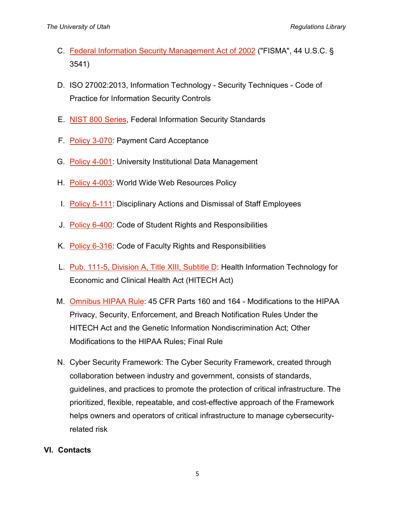- C. [Federal Information Security Management Act of 2002](http://www.dhs.gov/federal-information-security-management-act-fisma) ("FISMA", 44 U.S.C. § 3541)
- D. ISO 27002:2013, Information Technology Security Techniques Code of Practice for Information Security Controls
- E. [NIST 800 Series,](http://csrc.nist.gov/publications/PubsSPs.html) Federal Information Security Standards
- F. [Policy 3-070:](http://regulations.utah.edu/administration/3-070.php) Payment Card Acceptance
- G. [Policy 4-001:](http://regulations.utah.edu/it/4-001.php) University Institutional Data Management
- H. [Policy 4-003:](http://regulations.utah.edu/it/4-003.php) World Wide Web Resources Policy
- I. [Policy 5-111:](http://regulations.utah.edu/human-resources/5-111.php) Disciplinary Actions and Dismissal of Staff Employees
- J. [Policy 6-400:](http://regulations.utah.edu/academics/6-400.php) Code of Student Rights and Responsibilities
- K. [Policy 6-316:](http://regulations.utah.edu/academics/6-316.php) Code of Faculty Rights and Responsibilities
- L. [Pub. 111-5, Division A, Title XIII, Subtitle D:](http://www.hhs.gov/ocr/privacy/hipaa/understanding/coveredentities/hitechact.pdf) Health Information Technology for Economic and Clinical Health Act (HITECH Act)
- M. [Omnibus HIPAA Rule:](http://www.gpo.gov/fdsys/pkg/FR-2013-01-25/pdf/2013-01073.pdf) 45 CFR Parts 160 and 164 Modifications to the HIPAA Privacy, Security, Enforcement, and Breach Notification Rules Under the HITECH Act and the Genetic Information Nondiscrimination Act; Other Modifications to the HIPAA Rules; Final Rule
- N. Cyber Security Framework: The Cyber Security Framework, created through collaboration between industry and government, consists of standards, guidelines, and practices to promote the protection of critical infrastructure. The prioritized, flexible, repeatable, and cost-effective approach of the Framework helps owners and operators of critical infrastructure to manage cybersecurityrelated risk

### **VI. Contacts**